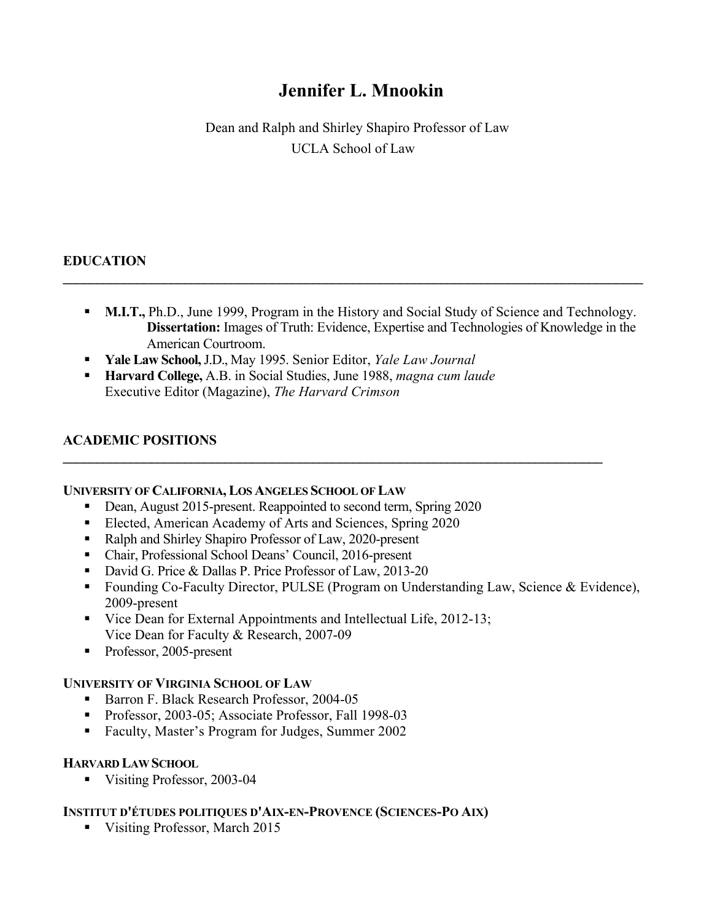# **Jennifer L. Mnookin**

Dean and Ralph and Shirley Shapiro Professor of Law UCLA School of Law

## **EDUCATION**

• **M.I.T.,** Ph.D., June 1999, Program in the History and Social Study of Science and Technology. **Dissertation:** Images of Truth: Evidence, Expertise and Technologies of Knowledge in the American Courtroom.

**\_\_\_\_\_\_\_\_\_\_\_\_\_\_\_\_\_\_\_\_\_\_\_\_\_\_\_\_\_\_\_\_\_\_\_\_\_\_\_\_\_\_\_\_\_\_\_\_\_\_\_\_\_\_\_\_\_\_\_\_\_\_\_\_\_\_\_\_\_\_\_\_\_\_\_\_\_\_\_\_** 

 $\mathcal{L}_\mathcal{L} = \{ \mathcal{L}_\mathcal{L} = \{ \mathcal{L}_\mathcal{L} = \{ \mathcal{L}_\mathcal{L} = \{ \mathcal{L}_\mathcal{L} = \{ \mathcal{L}_\mathcal{L} = \{ \mathcal{L}_\mathcal{L} = \{ \mathcal{L}_\mathcal{L} = \{ \mathcal{L}_\mathcal{L} = \{ \mathcal{L}_\mathcal{L} = \{ \mathcal{L}_\mathcal{L} = \{ \mathcal{L}_\mathcal{L} = \{ \mathcal{L}_\mathcal{L} = \{ \mathcal{L}_\mathcal{L} = \{ \mathcal{L}_\mathcal{$ 

- **Yale Law School,** J.D., May 1995. Senior Editor, *Yale Law Journal*
- **Harvard College,** A.B. in Social Studies, June 1988, *magna cum laude*  Executive Editor (Magazine), *The Harvard Crimson*

## **ACADEMIC POSITIONS**

#### **UNIVERSITY OF CALIFORNIA, LOS ANGELES SCHOOL OF LAW**

- Dean, August 2015-present. Reappointed to second term, Spring 2020
- Elected, American Academy of Arts and Sciences, Spring 2020
- Ralph and Shirley Shapiro Professor of Law, 2020-present
- Chair, Professional School Deans' Council, 2016-present
- David G. Price & Dallas P. Price Professor of Law, 2013-20
- Founding Co-Faculty Director, PULSE (Program on Understanding Law, Science & Evidence), 2009-present
- Vice Dean for External Appointments and Intellectual Life, 2012-13; Vice Dean for Faculty & Research, 2007-09
- Professor, 2005-present

## **UNIVERSITY OF VIRGINIA SCHOOL OF LAW**

- Barron F. Black Research Professor, 2004-05
- Professor, 2003-05; Associate Professor, Fall 1998-03
- Faculty, Master's Program for Judges, Summer 2002

#### **HARVARD LAW SCHOOL**

• Visiting Professor, 2003-04

## **INSTITUT D'ÉTUDES POLITIQUES D'AIX-EN-PROVENCE (SCIENCES-PO AIX)**

• Visiting Professor, March 2015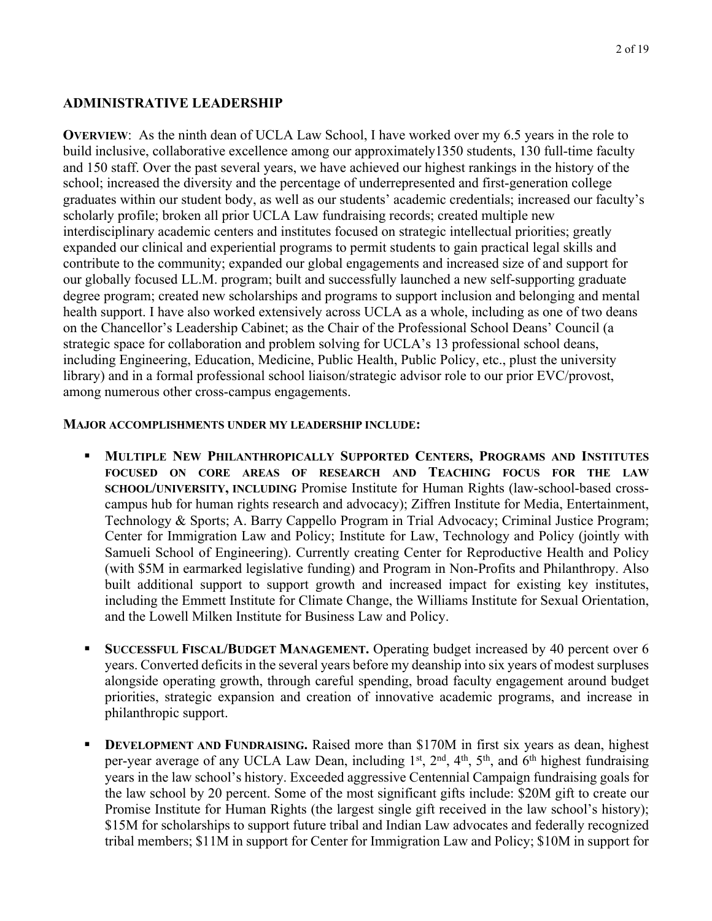## **ADMINISTRATIVE LEADERSHIP**

 **OVERVIEW**: As the ninth dean of UCLA Law School, I have worked over my 6.5 years in the role to build inclusive, collaborative excellence among our approximately1350 students, 130 full-time faculty and 150 staff. Over the past several years, we have achieved our highest rankings in the history of the school; increased the diversity and the percentage of underrepresented and first-generation college scholarly profile; broken all prior UCLA Law fundraising records; created multiple new our globally focused LL.M. program; built and successfully launched a new self-supporting graduate on the Chancellor's Leadership Cabinet; as the Chair of the Professional School Deans' Council (a strategic space for collaboration and problem solving for UCLA's 13 professional school deans, library) and in a formal professional school liaison/strategic advisor role to our prior EVC/provost, graduates within our student body, as well as our students' academic credentials; increased our faculty's interdisciplinary academic centers and institutes focused on strategic intellectual priorities; greatly expanded our clinical and experiential programs to permit students to gain practical legal skills and contribute to the community; expanded our global engagements and increased size of and support for degree program; created new scholarships and programs to support inclusion and belonging and mental health support. I have also worked extensively across UCLA as a whole, including as one of two deans including Engineering, Education, Medicine, Public Health, Public Policy, etc., plust the university among numerous other cross-campus engagements.

#### **MAJOR ACCOMPLISHMENTS UNDER MY LEADERSHIP INCLUDE:**

- **FOCUSED ON CORE AREAS OF RESEARCH AND TEACHING FOCUS FOR THE LAW**  built additional support to support growth and increased impact for existing key institutes, • **MULTIPLE NEW PHILANTHROPICALLY SUPPORTED CENTERS, PROGRAMS AND INSTITUTES SCHOOL/UNIVERSITY, INCLUDING** Promise Institute for Human Rights (law-school-based crosscampus hub for human rights research and advocacy); Ziffren Institute for Media, Entertainment, Technology & Sports; A. Barry Cappello Program in Trial Advocacy; Criminal Justice Program; Center for Immigration Law and Policy; Institute for Law, Technology and Policy (jointly with Samueli School of Engineering). Currently creating Center for Reproductive Health and Policy (with \$5M in earmarked legislative funding) and Program in Non-Profits and Philanthropy. Also including the Emmett Institute for Climate Change, the Williams Institute for Sexual Orientation, and the Lowell Milken Institute for Business Law and Policy.
- **SUCCESSFUL FISCAL/BUDGET MANAGEMENT.** Operating budget increased by 40 percent over 6 years. Converted deficits in the several years before my deanship into six years of modest surpluses alongside operating growth, through careful spending, broad faculty engagement around budget priorities, strategic expansion and creation of innovative academic programs, and increase in philanthropic support.
- years in the law school's history. Exceeded aggressive Centennial Campaign fundraising goals for \$15M for scholarships to support future tribal and Indian Law advocates and federally recognized **• DEVELOPMENT AND FUNDRAISING.** Raised more than \$170M in first six years as dean, highest per-year average of any UCLA Law Dean, including 1<sup>st</sup>, 2<sup>nd</sup>, 4<sup>th</sup>, 5<sup>th</sup>, and 6<sup>th</sup> highest fundraising the law school by 20 percent. Some of the most significant gifts include: \$20M gift to create our Promise Institute for Human Rights (the largest single gift received in the law school's history); tribal members; \$11M in support for Center for Immigration Law and Policy; \$10M in support for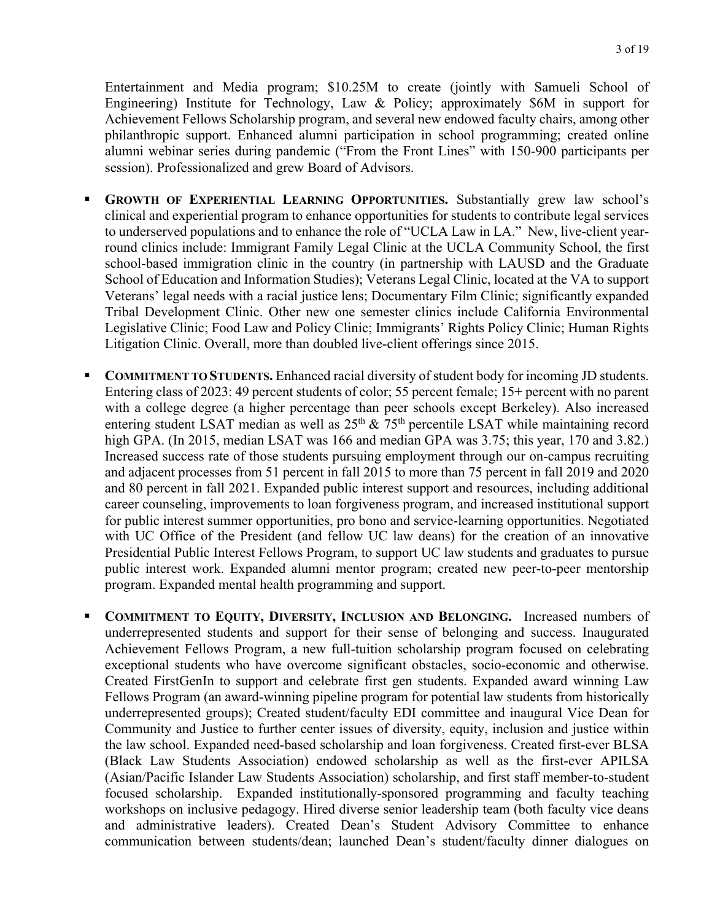Entertainment and Media program; \$10.25M to create (jointly with Samueli School of Engineering) Institute for Technology, Law & Policy; approximately \$6M in support for Achievement Fellows Scholarship program, and several new endowed faculty chairs, among other philanthropic support. Enhanced alumni participation in school programming; created online alumni webinar series during pandemic ("From the Front Lines" with 150-900 participants per session). Professionalized and grew Board of Advisors.

- **GROWTH OF EXPERIENTIAL LEARNING OPPORTUNITIES.** Substantially grew law school's clinical and experiential program to enhance opportunities for students to contribute legal services to underserved populations and to enhance the role of "UCLA Law in LA." New, live-client yearround clinics include: Immigrant Family Legal Clinic at the UCLA Community School, the first school-based immigration clinic in the country (in partnership with LAUSD and the Graduate School of Education and Information Studies); Veterans Legal Clinic, located at the VA to support Veterans' legal needs with a racial justice lens; Documentary Film Clinic; significantly expanded Tribal Development Clinic. Other new one semester clinics include California Environmental Legislative Clinic; Food Law and Policy Clinic; Immigrants' Rights Policy Clinic; Human Rights Litigation Clinic. Overall, more than doubled live-client offerings since 2015.
- Entering class of 2023: 49 percent students of color; 55 percent female; 15+ percent with no parent with a college degree (a higher percentage than peer schools except Berkeley). Also increased entering student LSAT median as well as  $25<sup>th</sup>$  &  $75<sup>th</sup>$  percentile LSAT while maintaining record high GPA. (In 2015, median LSAT was 166 and median GPA was 3.75; this year, 170 and 3.82.) career counseling, improvements to loan forgiveness program, and increased institutional support **• COMMITMENT TO STUDENTS.** Enhanced racial diversity of student body for incoming JD students. Increased success rate of those students pursuing employment through our on-campus recruiting and adjacent processes from 51 percent in fall 2015 to more than 75 percent in fall 2019 and 2020 and 80 percent in fall 2021. Expanded public interest support and resources, including additional for public interest summer opportunities, pro bono and service-learning opportunities. Negotiated with UC Office of the President (and fellow UC law deans) for the creation of an innovative Presidential Public Interest Fellows Program, to support UC law students and graduates to pursue public interest work. Expanded alumni mentor program; created new peer-to-peer mentorship program. Expanded mental health programming and support.
- **COMMITMENT TO EQUITY, DIVERSITY, INCLUSION AND BELONGING.** Increased numbers of underrepresented students and support for their sense of belonging and success. Inaugurated exceptional students who have overcome significant obstacles, socio-economic and otherwise. Fellows Program (an award-winning pipeline program for potential law students from historically underrepresented groups); Created student/faculty EDI committee and inaugural Vice Dean for focused scholarship. Expanded institutionally-sponsored programming and faculty teaching and administrative leaders). Created Dean's Student Advisory Committee to enhance Achievement Fellows Program, a new full-tuition scholarship program focused on celebrating Created FirstGenIn to support and celebrate first gen students. Expanded award winning Law Community and Justice to further center issues of diversity, equity, inclusion and justice within the law school. Expanded need-based scholarship and loan forgiveness. Created first-ever BLSA (Black Law Students Association) endowed scholarship as well as the first-ever APILSA (Asian/Pacific Islander Law Students Association) scholarship, and first staff member-to-student workshops on inclusive pedagogy. Hired diverse senior leadership team (both faculty vice deans communication between students/dean; launched Dean's student/faculty dinner dialogues on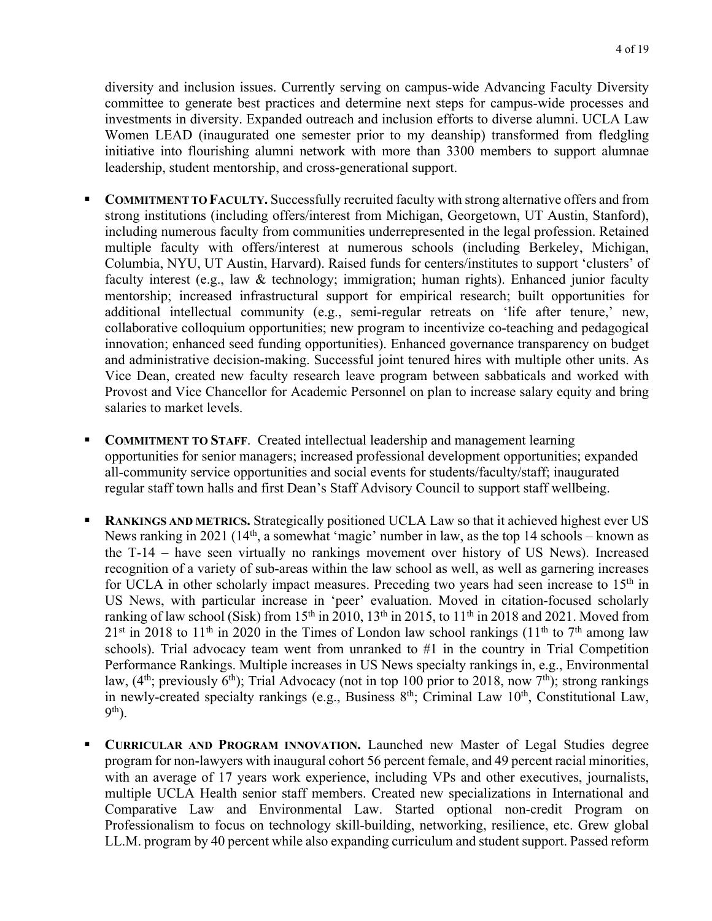Women LEAD (inaugurated one semester prior to my deanship) transformed from fledgling initiative into flourishing alumni network with more than 3300 members to support alumnae leadership, student mentorship, and cross-generational support. diversity and inclusion issues. Currently serving on campus-wide Advancing Faculty Diversity committee to generate best practices and determine next steps for campus-wide processes and investments in diversity. Expanded outreach and inclusion efforts to diverse alumni. UCLA Law

- **COMMITMENT TO FACULTY.** Successfully recruited faculty with strong alternative offers and from additional intellectual community (e.g., semi-regular retreats on 'life after tenure,' new, Vice Dean, created new faculty research leave program between sabbaticals and worked with strong institutions (including offers/interest from Michigan, Georgetown, UT Austin, Stanford), including numerous faculty from communities underrepresented in the legal profession. Retained multiple faculty with offers/interest at numerous schools (including Berkeley, Michigan, Columbia, NYU, UT Austin, Harvard). Raised funds for centers/institutes to support 'clusters' of faculty interest (e.g., law & technology; immigration; human rights). Enhanced junior faculty mentorship; increased infrastructural support for empirical research; built opportunities for collaborative colloquium opportunities; new program to incentivize co-teaching and pedagogical innovation; enhanced seed funding opportunities). Enhanced governance transparency on budget and administrative decision-making. Successful joint tenured hires with multiple other units. As Provost and Vice Chancellor for Academic Personnel on plan to increase salary equity and bring salaries to market levels.
- **COMMITMENT TO STAFF.** Created intellectual leadership and management learning opportunities for senior managers; increased professional development opportunities; expanded all-community service opportunities and social events for students/faculty/staff; inaugurated regular staff town halls and first Dean's Staff Advisory Council to support staff wellbeing.
- **RANKINGS AND METRICS.** Strategically positioned UCLA Law so that it achieved highest ever US ranking of law school (Sisk) from 15<sup>th</sup> in 2010, 13<sup>th</sup> in 2015, to 11<sup>th</sup> in 2018 and 2021. Moved from  $21^{st}$  in 2018 to 11<sup>th</sup> in 2020 in the Times of London law school rankings (11<sup>th</sup> to 7<sup>th</sup> among law News ranking in 2021 (14<sup>th</sup>, a somewhat 'magic' number in law, as the top 14 schools – known as the T-14 – have seen virtually no rankings movement over history of US News). Increased recognition of a variety of sub-areas within the law school as well, as well as garnering increases for UCLA in other scholarly impact measures. Preceding two years had seen increase to  $15<sup>th</sup>$  in US News, with particular increase in 'peer' evaluation. Moved in citation-focused scholarly schools). Trial advocacy team went from unranked to #1 in the country in Trial Competition Performance Rankings. Multiple increases in US News specialty rankings in, e.g., Environmental law,  $(4<sup>th</sup>; previously 6<sup>th</sup>)$ ; Trial Advocacy (not in top 100 prior to 2018, now 7<sup>th</sup>); strong rankings in newly-created specialty rankings (e.g., Business 8<sup>th</sup>; Criminal Law 10<sup>th</sup>, Constitutional Law, 9th).
- with an average of 17 years work experience, including VPs and other executives, journalists, multiple UCLA Health senior staff members. Created new specializations in International and LL.M. program by 40 percent while also expanding curriculum and student support. Passed reform • **CURRICULAR AND PROGRAM INNOVATION.** Launched new Master of Legal Studies degree program for non-lawyers with inaugural cohort 56 percent female, and 49 percent racial minorities, Comparative Law and Environmental Law. Started optional non-credit Program on Professionalism to focus on technology skill-building, networking, resilience, etc. Grew global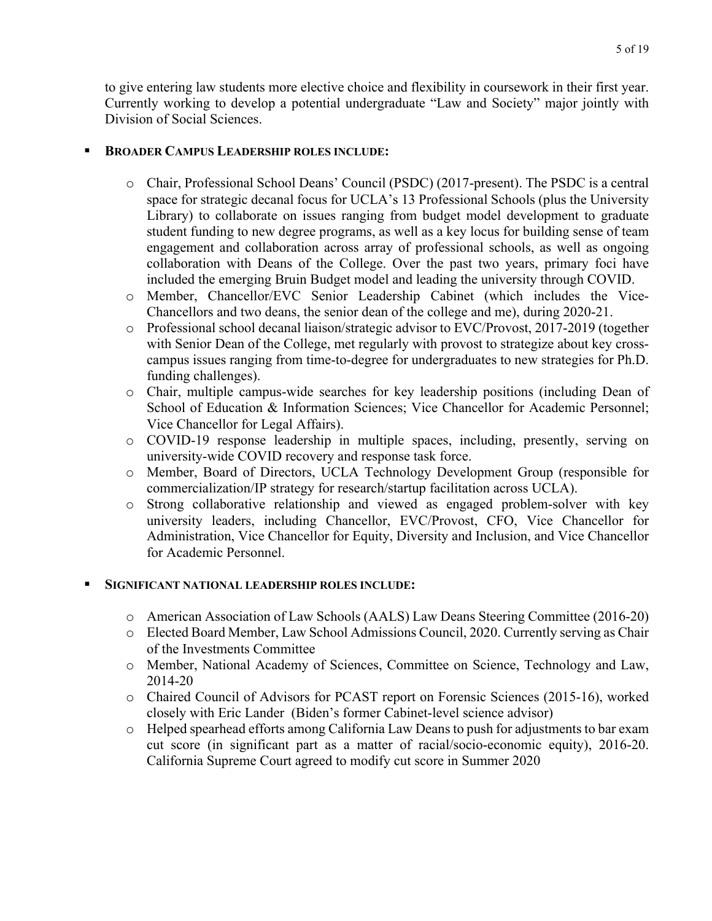to give entering law students more elective choice and flexibility in coursework in their first year. Currently working to develop a potential undergraduate "Law and Society" major jointly with Division of Social Sciences.

## • **BROADER CAMPUS LEADERSHIP ROLES INCLUDE:**

- o Chair, Professional School Deans' Council (PSDC) (2017-present). The PSDC is a central space for strategic decanal focus for UCLA's 13 Professional Schools (plus the University Library) to collaborate on issues ranging from budget model development to graduate student funding to new degree programs, as well as a key locus for building sense of team engagement and collaboration across array of professional schools, as well as ongoing collaboration with Deans of the College. Over the past two years, primary foci have included the emerging Bruin Budget model and leading the university through COVID.
- Chancellors and two deans, the senior dean of the college and me), during 2020-21. o Member, Chancellor/EVC Senior Leadership Cabinet (which includes the Vice-
- o Professional school decanal liaison/strategic advisor to EVC/Provost, 2017-2019 (together with Senior Dean of the College, met regularly with provost to strategize about key crosscampus issues ranging from time-to-degree for undergraduates to new strategies for Ph.D. funding challenges).
- o Chair, multiple campus-wide searches for key leadership positions (including Dean of School of Education & Information Sciences; Vice Chancellor for Academic Personnel; Vice Chancellor for Legal Affairs).
- o COVID-19 response leadership in multiple spaces, including, presently, serving on university-wide COVID recovery and response task force.
- o Member, Board of Directors, UCLA Technology Development Group (responsible for commercialization/IP strategy for research/startup facilitation across UCLA).
- o Strong collaborative relationship and viewed as engaged problem-solver with key university leaders, including Chancellor, EVC/Provost, CFO, Vice Chancellor for Administration, Vice Chancellor for Equity, Diversity and Inclusion, and Vice Chancellor for Academic Personnel.

## • **SIGNIFICANT NATIONAL LEADERSHIP ROLES INCLUDE:**

- o American Association of Law Schools (AALS) Law Deans Steering Committee (2016-20)
- o Elected Board Member, Law School Admissions Council, 2020. Currently serving as Chair of the Investments Committee
- o Member, National Academy of Sciences, Committee on Science, Technology and Law, 2014-20
- closely with Eric Lander (Biden's former Cabinet-level science advisor) o Chaired Council of Advisors for PCAST report on Forensic Sciences (2015-16), worked
- o Helped spearhead efforts among California Law Deans to push for adjustments to bar exam cut score (in significant part as a matter of racial/socio-economic equity), 2016-20. California Supreme Court agreed to modify cut score in Summer 2020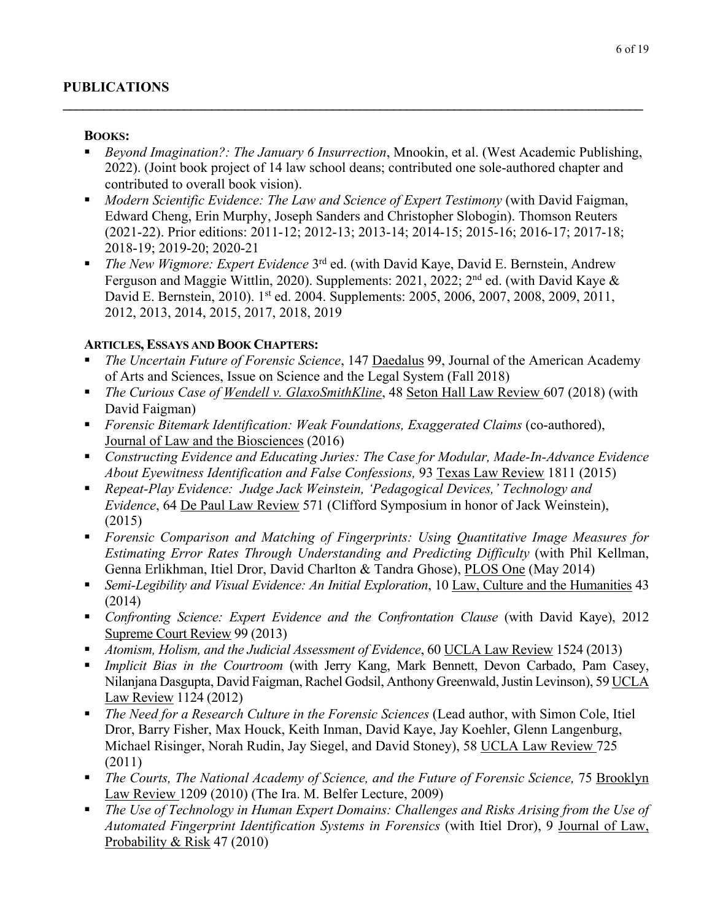## **BOOKS:**

• *Beyond Imagination?: The January 6 Insurrection*, Mnookin, et al. (West Academic Publishing, 2022). (Joint book project of 14 law school deans; contributed one sole-authored chapter and contributed to overall book vision).

**\_\_\_\_\_\_\_\_\_\_\_\_\_\_\_\_\_\_\_\_\_\_\_\_\_\_\_\_\_\_\_\_\_\_\_\_\_\_\_\_\_\_\_\_\_\_\_\_\_\_\_\_\_\_\_\_\_\_\_\_\_\_\_\_\_\_\_\_\_\_\_\_\_\_\_\_\_\_\_\_\_\_\_\_\_\_** 

- Edward Cheng, Erin Murphy, Joseph Sanders and Christopher Slobogin). Thomson Reuters • *Modern Scientific Evidence: The Law and Science of Expert Testimony* (with David Faigman, (2021-22). Prior editions: 2011-12; 2012-13; 2013-14; 2014-15; 2015-16; 2016-17; 2017-18; 2018-19; 2019-20; 2020-21
- Ferguson and Maggie Wittlin, 2020). Supplements: 2021, 2022; 2<sup>nd</sup> ed. (with David Kaye & David E. Bernstein, 2010). 1<sup>st</sup> ed. 2004. Supplements: 2005, 2006, 2007, 2008, 2009, 2011, • *The New Wigmore: Expert Evidence* 3<sup>rd</sup> ed. (with David Kaye, David E. Bernstein, Andrew 2012, 2013, 2014, 2015, 2017, 2018, 2019

# **ARTICLES, ESSAYS AND BOOK CHAPTERS:**

- *The Uncertain Future of Forensic Science*, 147 Daedalus 99, Journal of the American Academy of Arts and Sciences, Issue on Science and the Legal System (Fall 2018)
- *The Curious Case of <u>Wendell v. GlaxoSmithKline</u>*, 48 Seton Hall Law Review 607 (2018) (with David Faigman)
- *Forensic Bitemark Identification: Weak Foundations, Exaggerated Claims* (co-authored), Journal of Law and the Biosciences (2016)
- *About Eyewitness Identification and False Confessions,* 93 Texas Law Review 1811 (2015) • *Constructing Evidence and Educating Juries: The Case for Modular, Made-In-Advance Evidence*
- *Evidence*, 64 De Paul Law Review 571 (Clifford Symposium in honor of Jack Weinstein), • *Repeat-Play Evidence: Judge Jack Weinstein, 'Pedagogical Devices,' Technology and*  (2015)
- *Forensic Comparison and Matching of Fingerprints: Using Quantitative Image Measures for Estimating Error Rates Through Understanding and Predicting Difficulty* (with Phil Kellman, Genna Erlikhman, Itiel Dror, David Charlton & Tandra Ghose), PLOS One (May 2014)
- *Semi-Legibility and Visual Evidence: An Initial Exploration*, 10 Law, Culture and the Humanities 43 (2014)
- *Confronting Science: Expert Evidence and the Confrontation Clause* (with David Kaye), 2012 Supreme Court Review 99 (2013)
- *Atomism, Holism, and the Judicial Assessment of Evidence*, 60 UCLA Law Review 1524 (2013)
- **•** *Implicit Bias in the Courtroom* (with Jerry Kang, Mark Bennett, Devon Carbado, Pam Casey, Nilanjana Dasgupta, David Faigman, Rachel Godsil, Anthony Greenwald, Justin Levinson), 59 UCLA Law Review 1124 (2012)
- *The Need for a Research Culture in the Forensic Sciences* (Lead author, with Simon Cole, Itiel Dror, Barry Fisher, Max Houck, Keith Inman, David Kaye, Jay Koehler, Glenn Langenburg, Michael Risinger, Norah Rudin, Jay Siegel, and David Stoney), 58 UCLA Law Review 725 (2011)
- **•** *The Courts, The National Academy of Science, and the Future of Forensic Science, 75 Brooklyn* Law Review 1209 (2010) (The Ira. M. Belfer Lecture, 2009)
- **•** The Use of Technology in Human Expert Domains: Challenges and Risks Arising from the Use of *Automated Fingerprint Identification Systems in Forensics* (with Itiel Dror), 9 Journal of Law, Probability & Risk 47 (2010)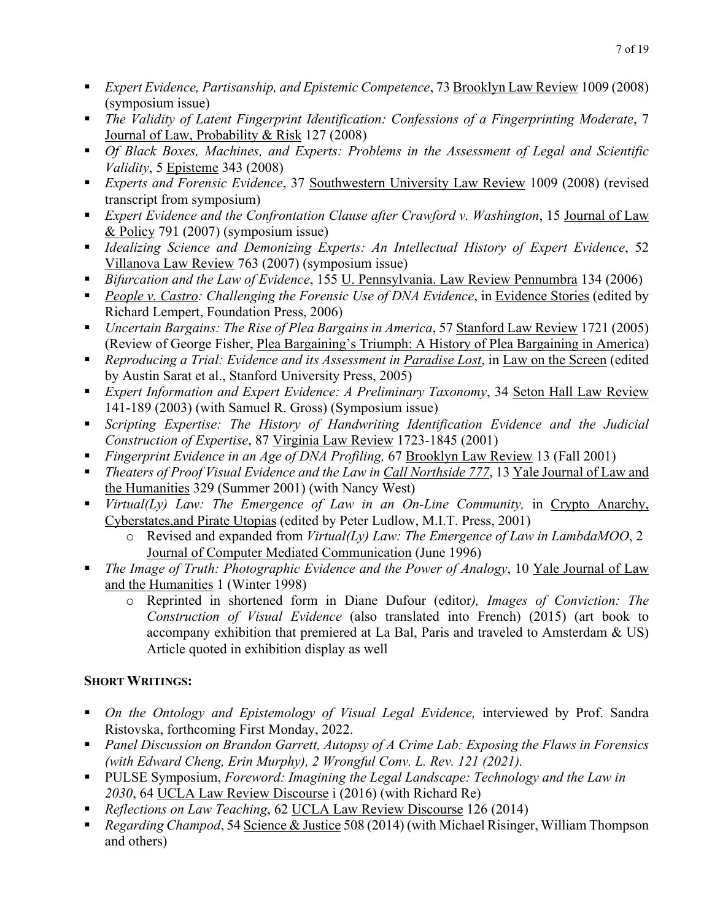- *Expert Evidence, Partisanship, and Epistemic Competence*, 73 Brooklyn Law Review 1009 (2008) (symposium issue)
- Journal of Law, Probability & Risk 127 (2008) • *The Validity of Latent Fingerprint Identification: Confessions of a Fingerprinting Moderate*, 7
- *Validity*, 5 Episteme 343 (2008) • *Of Black Boxes, Machines, and Experts: Problems in the Assessment of Legal and Scientific*
- • *Experts and Forensic Evidence*, 37 Southwestern University Law Review 1009 (2008) (revised transcript from symposium)
- *Expert Evidence and the Confrontation Clause after Crawford v. Washington*, 15 Journal of Law & Policy 791 (2007) (symposium issue)
- Villanova Law Review 763 (2007) (symposium issue) • *Idealizing Science and Demonizing Experts: An Intellectual History of Expert Evidence*, 52
- *Bifurcation and the Law of Evidence*, 155 U. Pennsylvania. Law Review Pennumbra 134 (2006)
- *People v. Castro: Challenging the Forensic Use of DNA Evidence*, in Evidence Stories (edited by Richard Lempert, Foundation Press, 2006)
- *Uncertain Bargains: The Rise of Plea Bargains in America*, 57 Stanford Law Review 1721 (2005) (Review of George Fisher, Plea Bargaining's Triumph: A History of Plea Bargaining in America)
- **•** *Reproducing a Trial: Evidence and its Assessment in Paradise Lost*, in Law on the Screen (edited by Austin Sarat et al., Stanford University Press, 2005)
- *Expert Information and Expert Evidence: A Preliminary Taxonomy*, 34 Seton Hall Law Review 141-189 (2003) (with Samuel R. Gross) (Symposium issue)
- *Scripting Expertise: The History of Handwriting Identification Evidence and the Judicial Construction of Expertise*, 87 Virginia Law Review 1723-1845 (2001)
- **•** *Fingerprint Evidence in an Age of DNA Profiling, 67 Brooklyn Law Review 13 (Fall 2001)*
- *Theaters of Proof Visual Evidence and the Law in Call Northside 777*, 13 Yale Journal of Law and the Humanities 329 (Summer 2001) (with Nancy West)
- *Virtual(Ly) Law: The Emergence of Law in an On-Line Community,* in Crypto Anarchy, Cyberstates,and Pirate Utopias (edited by Peter Ludlow, M.I.T. Press, 2001)
	- o Revised and expanded from *Virtual(Ly) Law: The Emergence of Law in LambdaMOO*, 2 Journal of Computer Mediated Communication (June 1996)
- *The Image of Truth: Photographic Evidence and the Power of Analogy*, 10 Yale Journal of Law and the Humanities 1 (Winter 1998)
	- *Construction of Visual Evidence* (also translated into French) (2015) (art book to accompany exhibition that premiered at La Bal, Paris and traveled to Amsterdam & US) o Reprinted in shortened form in Diane Dufour (editor*), Images of Conviction: The*  Article quoted in exhibition display as well

# **SHORT WRITINGS:**

- *On the Ontology and Epistemology of Visual Legal Evidence, interviewed by Prof. Sandra* Ristovska, forthcoming First Monday, 2022.
- *Panel Discussion on Brandon Garrett, Autopsy of A Crime Lab: Exposing the Flaws in Forensics (with Edward Cheng, Erin Murphy), 2 Wrongful Conv. L. Rev. 121 (2021).*
- *2030*, 64 UCLA Law Review Discourse i (2016) (with Richard Re) • PULSE Symposium, *Foreword: Imagining the Legal Landscape: Technology and the Law in*
- *Reflections on Law Teaching*, 62 UCLA Law Review Discourse 126 (2014)
- *Regarding Champod*, 54 Science & Justice 508 (2014) (with Michael Risinger, William Thompson and others)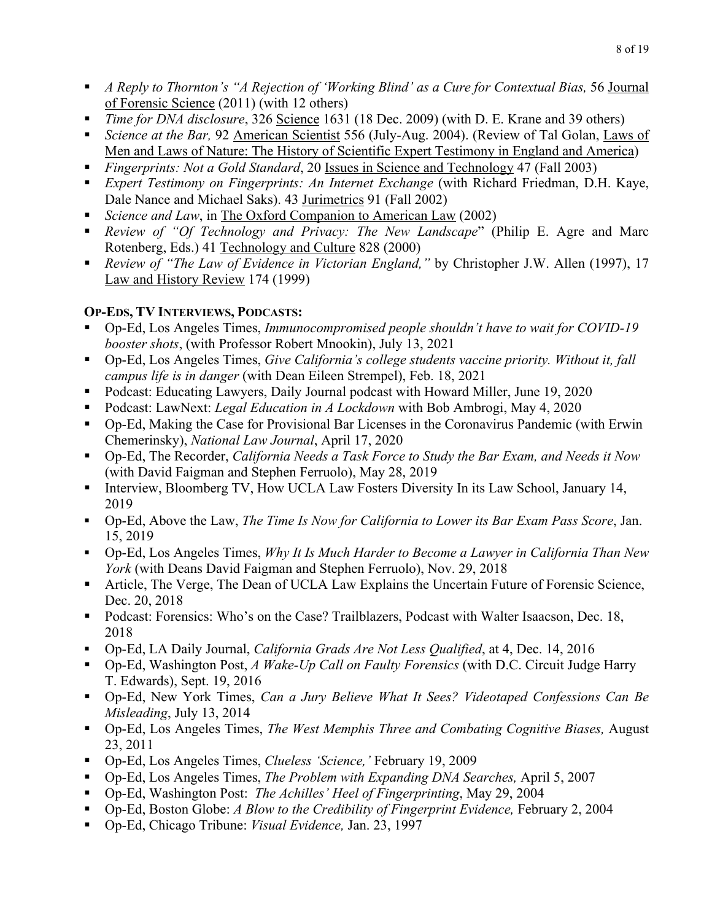- *A Reply to Thornton's "A Rejection of 'Working Blind' as a Cure for Contextual Bias, 56 Journal* of Forensic Science (2011) (with 12 others)
- *Time for DNA disclosure*, 326 Science 1631 (18 Dec. 2009) (with D. E. Krane and 39 others)
- Men and Laws of Nature: The History of Scientific Expert Testimony in England and America) • *Science at the Bar,* 92 American Scientist 556 (July-Aug. 2004). (Review of Tal Golan, Laws of
- *Fingerprints: Not a Gold Standard*, 20 Issues in Science and Technology 47 (Fall 2003)
- *Expert Testimony on Fingerprints: An Internet Exchange* (with Richard Friedman, D.H. Kaye, Dale Nance and Michael Saks). 43 Jurimetrics 91 (Fall 2002)
- *Science and Law*, in The Oxford Companion to American Law (2002)
- *Review of "Of Technology and Privacy: The New Landscape*" (Philip E. Agre and Marc Rotenberg, Eds.) 41 Technology and Culture 828 (2000)
- *Review of "The Law of Evidence in Victorian England,"* by Christopher J.W. Allen (1997), 17 Law and History Review 174 (1999)

## **OP-EDS, TV INTERVIEWS, PODCASTS:**

- Op-Ed, Los Angeles Times, *Immunocompromised people shouldn't have to wait for COVID-19 booster shots*, (with Professor Robert Mnookin), July 13, 2021
- Op-Ed, Los Angeles Times, *Give California's college students vaccine priority. Without it, fall campus life is in danger* (with Dean Eileen Strempel), Feb. 18, 2021
- Podcast: Educating Lawyers, Daily Journal podcast with Howard Miller, June 19, 2020
- Podcast: LawNext: *Legal Education in A Lockdown* with Bob Ambrogi, May 4, 2020
- Op-Ed, Making the Case for Provisional Bar Licenses in the Coronavirus Pandemic (with Erwin Chemerinsky), *National Law Journal*, April 17, 2020
- Op-Ed, The Recorder, *California Needs a Task Force to Study the Bar Exam, and Needs it Now*  (with David Faigman and Stephen Ferruolo), May 28, 2019
- • Interview, Bloomberg TV, How UCLA Law Fosters Diversity In its Law School, January 14, 2019
- Op-Ed, Above the Law, *The Time Is Now for California to Lower its Bar Exam Pass Score*, Jan. 15, 2019
- Op-Ed, Los Angeles Times, *Why It Is Much Harder to Become a Lawyer in California Than New York* (with Deans David Faigman and Stephen Ferruolo), Nov. 29, 2018
- Article, The Verge, The Dean of UCLA Law Explains the Uncertain Future of Forensic Science, Dec. 20, 2018
- Podcast: Forensics: Who's on the Case? Trailblazers, Podcast with Walter Isaacson, Dec. 18, 2018
- Op-Ed, LA Daily Journal, *California Grads Are Not Less Qualified*, at 4, Dec. 14, 2016
- • Op-Ed, Washington Post, *A Wake-Up Call on Faulty Forensics* (with D.C. Circuit Judge Harry T. Edwards), Sept. 19, 2016
- Op-Ed, New York Times, *Can a Jury Believe What It Sees? Videotaped Confessions Can Be Misleading*, July 13, 2014
- Op-Ed, Los Angeles Times, *The West Memphis Three and Combating Cognitive Biases,* August 23, 2011
- Op-Ed, Los Angeles Times, *Clueless 'Science,'* February 19, 2009
- Op-Ed, Los Angeles Times, *The Problem with Expanding DNA Searches,* April 5, 2007
- Op-Ed, Washington Post: *The Achilles' Heel of Fingerprinting*, May 29, 2004
- Op-Ed, Boston Globe: *A Blow to the Credibility of Fingerprint Evidence,* February 2, 2004
- Op-Ed, Chicago Tribune: *Visual Evidence,* Jan. 23, 1997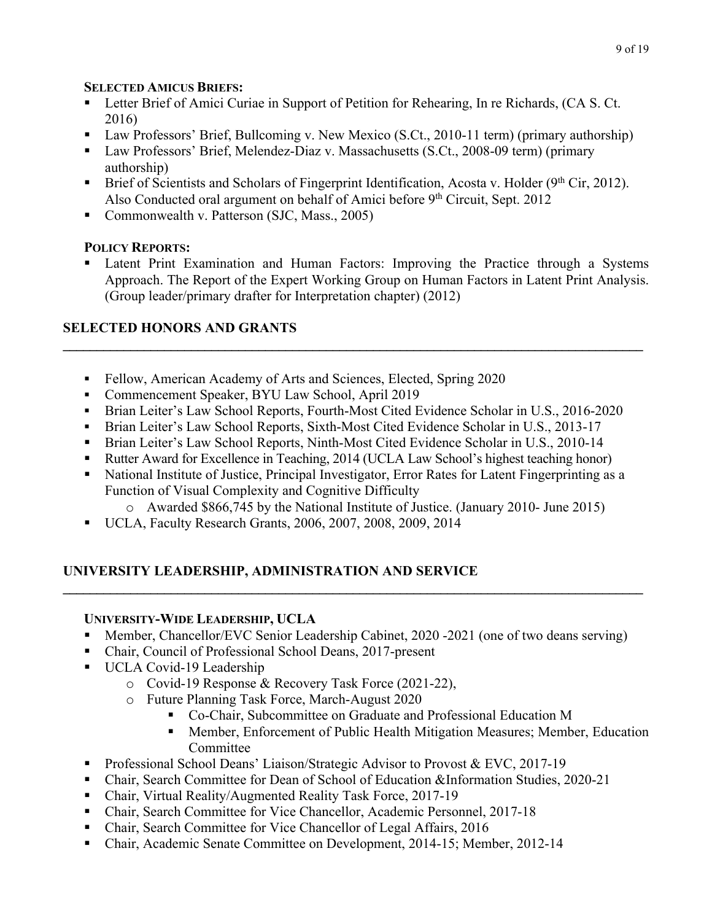## **SELECTED AMICUS BRIEFS:**

- Letter Brief of Amici Curiae in Support of Petition for Rehearing, In re Richards, (CA S. Ct. 2016)
- Law Professors' Brief, Bullcoming v. New Mexico (S.Ct., 2010-11 term) (primary authorship)
- Law Professors' Brief, Melendez-Diaz v. Massachusetts (S.Ct., 2008-09 term) (primary authorship)
- Brief of Scientists and Scholars of Fingerprint Identification, Acosta v. Holder ( $9<sup>th</sup> Cir$ , 2012). Also Conducted oral argument on behalf of Amici before  $9<sup>th</sup>$  Circuit, Sept. 2012
- Commonwealth v. Patterson (SJC, Mass., 2005)

# **POLICY REPORTS:**

Latent Print Examination and Human Factors: Improving the Practice through a Systems Approach. The Report of the Expert Working Group on Human Factors in Latent Print Analysis. (Group leader/primary drafter for Interpretation chapter) (2012)

# **SELECTED HONORS AND GRANTS**

- Fellow, American Academy of Arts and Sciences, Elected, Spring 2020
- Commencement Speaker, BYU Law School, April 2019
- Brian Leiter's Law School Reports, Fourth-Most Cited Evidence Scholar in U.S., 2016-2020

 $\mathcal{L}_\mathcal{L} = \{ \mathcal{L}_\mathcal{L} = \{ \mathcal{L}_\mathcal{L} = \{ \mathcal{L}_\mathcal{L} = \{ \mathcal{L}_\mathcal{L} = \{ \mathcal{L}_\mathcal{L} = \{ \mathcal{L}_\mathcal{L} = \{ \mathcal{L}_\mathcal{L} = \{ \mathcal{L}_\mathcal{L} = \{ \mathcal{L}_\mathcal{L} = \{ \mathcal{L}_\mathcal{L} = \{ \mathcal{L}_\mathcal{L} = \{ \mathcal{L}_\mathcal{L} = \{ \mathcal{L}_\mathcal{L} = \{ \mathcal{L}_\mathcal{$ 

- Brian Leiter's Law School Reports, Sixth-Most Cited Evidence Scholar in U.S., 2013-17
- Brian Leiter's Law School Reports, Ninth-Most Cited Evidence Scholar in U.S., 2010-14
- Rutter Award for Excellence in Teaching, 2014 (UCLA Law School's highest teaching honor)
- National Institute of Justice, Principal Investigator, Error Rates for Latent Fingerprinting as a Function of Visual Complexity and Cognitive Difficulty
	- o Awarded \$866,745 by the National Institute of Justice. (January 2010- June 2015)
- UCLA, Faculty Research Grants, 2006, 2007, 2008, 2009, 2014

# **UNIVERSITY LEADERSHIP, ADMINISTRATION AND SERVICE**

## **UNIVERSITY-WIDE LEADERSHIP, UCLA**

• Member, Chancellor/EVC Senior Leadership Cabinet, 2020 -2021 (one of two deans serving)

**\_\_\_\_\_\_\_\_\_\_\_\_\_\_\_\_\_\_\_\_\_\_\_\_\_\_\_\_\_\_\_\_\_\_\_\_\_\_\_\_\_\_\_\_\_\_\_\_\_\_\_\_\_\_\_\_\_\_\_\_\_\_\_\_\_\_\_\_\_\_\_\_\_\_\_\_\_\_\_\_\_\_\_\_\_\_** 

- Chair, Council of Professional School Deans, 2017-present
- UCLA Covid-19 Leadership
	- o Covid-19 Response & Recovery Task Force (2021-22),
	- o Future Planning Task Force, March-August 2020
		- Co-Chair, Subcommittee on Graduate and Professional Education M
		- Member, Enforcement of Public Health Mitigation Measures; Member, Education Committee
- Professional School Deans' Liaison/Strategic Advisor to Provost & EVC, 2017-19
- Chair, Search Committee for Dean of School of Education &Information Studies, 2020-21
- Chair, Virtual Reality/Augmented Reality Task Force, 2017-19
- Chair, Search Committee for Vice Chancellor, Academic Personnel, 2017-18
- Chair, Search Committee for Vice Chancellor of Legal Affairs, 2016
- Chair, Academic Senate Committee on Development, 2014-15; Member, 2012-14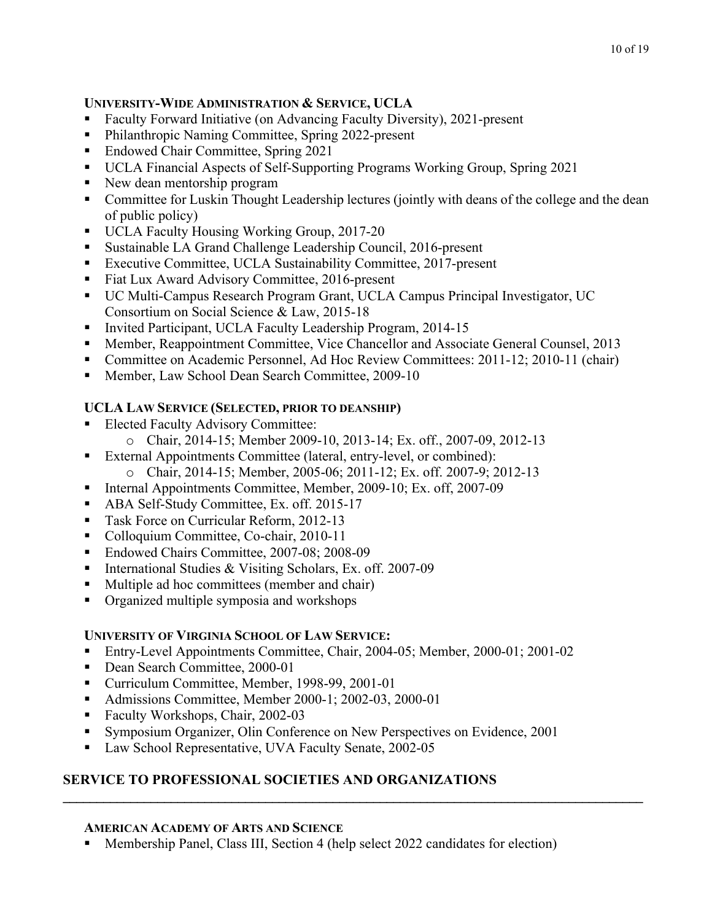#### 10 of 19

### **UNIVERSITY-WIDE ADMINISTRATION & SERVICE, UCLA**

- Faculty Forward Initiative (on Advancing Faculty Diversity), 2021-present
- Philanthropic Naming Committee, Spring 2022-present
- Endowed Chair Committee, Spring 2021
- UCLA Financial Aspects of Self-Supporting Programs Working Group, Spring 2021
- New dean mentorship program
- Committee for Luskin Thought Leadership lectures (jointly with deans of the college and the dean of public policy)
- UCLA Faculty Housing Working Group, 2017-20
- Sustainable LA Grand Challenge Leadership Council, 2016-present
- Executive Committee, UCLA Sustainability Committee, 2017-present
- Fiat Lux Award Advisory Committee, 2016-present
- UC Multi-Campus Research Program Grant, UCLA Campus Principal Investigator, UC Consortium on Social Science & Law, 2015-18
- Invited Participant, UCLA Faculty Leadership Program, 2014-15
- Member, Reappointment Committee, Vice Chancellor and Associate General Counsel, 2013
- Committee on Academic Personnel, Ad Hoc Review Committees: 2011-12; 2010-11 (chair)
- Member, Law School Dean Search Committee, 2009-10

# **UCLA LAW SERVICE (SELECTED, PRIOR TO DEANSHIP)**

- Elected Faculty Advisory Committee:
	- o Chair, 2014-15; Member 2009-10, 2013-14; Ex. off., 2007-09, 2012-13
- External Appointments Committee (lateral, entry-level, or combined):
	- o Chair, 2014-15; Member, 2005-06; 2011-12; Ex. off. 2007-9; 2012-13
- Internal Appointments Committee, Member, 2009-10; Ex. off, 2007-09
- ABA Self-Study Committee, Ex. off. 2015-17
- **Task Force on Curricular Reform, 2012-13**
- Colloquium Committee, Co-chair, 2010-11
- Endowed Chairs Committee, 2007-08; 2008-09
- International Studies & Visiting Scholars, Ex. off. 2007-09
- Multiple ad hoc committees (member and chair)
- Organized multiple symposia and workshops

## **UNIVERSITY OF VIRGINIA SCHOOL OF LAW SERVICE:**

- Entry-Level Appointments Committee, Chair, 2004-05; Member, 2000-01; 2001-02
- Dean Search Committee, 2000-01
- Curriculum Committee, Member, 1998-99, 2001-01
- Admissions Committee, Member 2000-1; 2002-03, 2000-01
- Faculty Workshops, Chair, 2002-03
- Symposium Organizer, Olin Conference on New Perspectives on Evidence, 2001
- Law School Representative, UVA Faculty Senate, 2002-05

# **SERVICE TO PROFESSIONAL SOCIETIES AND ORGANIZATIONS**

## **AMERICAN ACADEMY OF ARTS AND SCIENCE**

• Membership Panel, Class III, Section 4 (help select 2022 candidates for election)

 $\mathcal{L}_\mathcal{L} = \{ \mathcal{L}_\mathcal{L} = \{ \mathcal{L}_\mathcal{L} = \{ \mathcal{L}_\mathcal{L} = \{ \mathcal{L}_\mathcal{L} = \{ \mathcal{L}_\mathcal{L} = \{ \mathcal{L}_\mathcal{L} = \{ \mathcal{L}_\mathcal{L} = \{ \mathcal{L}_\mathcal{L} = \{ \mathcal{L}_\mathcal{L} = \{ \mathcal{L}_\mathcal{L} = \{ \mathcal{L}_\mathcal{L} = \{ \mathcal{L}_\mathcal{L} = \{ \mathcal{L}_\mathcal{L} = \{ \mathcal{L}_\mathcal{$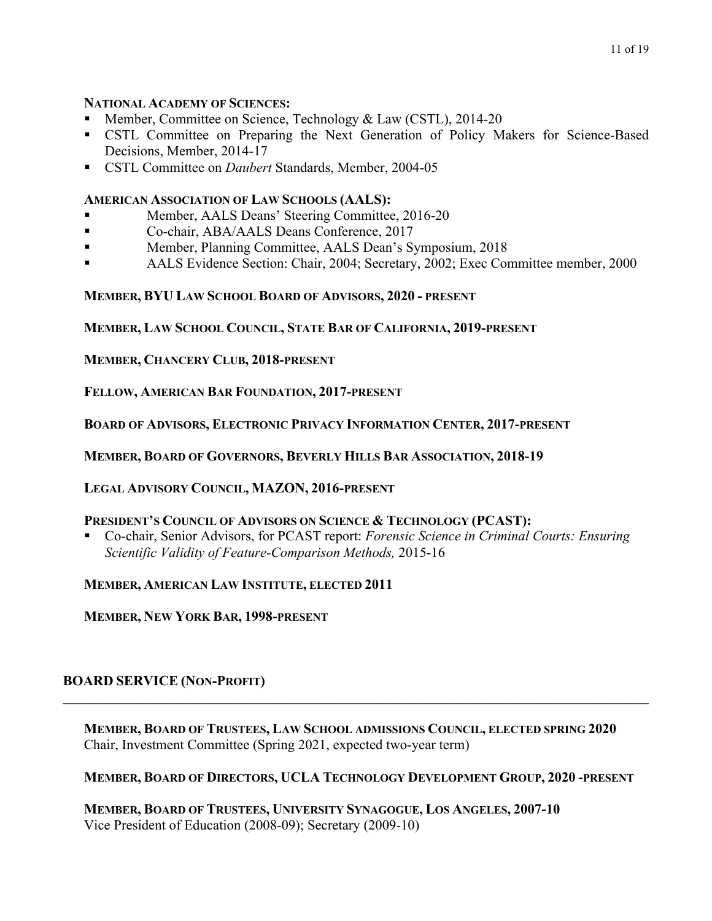#### **NATIONAL ACADEMY OF SCIENCES:**

- Member, Committee on Science, Technology & Law (CSTL), 2014-20
- CSTL Committee on Preparing the Next Generation of Policy Makers for Science-Based Decisions, Member, 2014-17
- CSTL Committee on *Daubert* Standards, Member, 2004-05

#### **AMERICAN ASSOCIATION OF LAW SCHOOLS (AALS):**

- Member, AALS Deans' Steering Committee, 2016-20
- Co-chair, ABA/AALS Deans Conference, 2017
- Member, Planning Committee, AALS Dean's Symposium, 2018
- AALS Evidence Section: Chair, 2004; Secretary, 2002; Exec Committee member, 2000

## **MEMBER, BYU LAW SCHOOL BOARD OF ADVISORS, 2020 - PRESENT**

**MEMBER, LAW SCHOOL COUNCIL, STATE BAR OF CALIFORNIA, 2019-PRESENT** 

**MEMBER, CHANCERY CLUB, 2018-PRESENT** 

**FELLOW, AMERICAN BAR FOUNDATION, 2017-PRESENT** 

 **BOARD OF ADVISORS, ELECTRONIC PRIVACY INFORMATION CENTER, 2017-PRESENT** 

 **MEMBER, BOARD OF GOVERNORS, BEVERLY HILLS BAR ASSOCIATION, 2018-19** 

**LEGAL ADVISORY COUNCIL, MAZON, 2016-PRESENT** 

#### **PRESIDENT'S COUNCIL OF ADVISORS ON SCIENCE & TECHNOLOGY (PCAST):**

• Co-chair, Senior Advisors, for PCAST report: *Forensic Science in Criminal Courts: Ensuring Scientific Validity of Feature-Comparison Methods,* 2015-16

 **MEMBER, AMERICAN LAW INSTITUTE, ELECTED 2011** 

**MEMBER, NEW YORK BAR, 1998-PRESENT** 

## **BOARD SERVICE (NON-PROFIT)**

 Chair, Investment Committee (Spring 2021, expected two-year term) **MEMBER, BOARD OF TRUSTEES, LAW SCHOOL ADMISSIONS COUNCIL, ELECTED SPRING 2020** 

**\_\_\_\_\_\_\_\_\_\_\_\_\_\_\_\_\_\_\_\_\_\_\_\_\_\_\_\_\_\_\_\_\_\_\_\_\_\_\_\_\_\_\_\_\_\_\_\_\_\_\_\_\_\_\_\_\_\_\_\_\_\_\_\_\_\_\_\_\_\_\_\_\_\_\_\_\_\_\_\_\_\_\_\_** 

 **MEMBER, BOARD OF DIRECTORS, UCLA TECHNOLOGY DEVELOPMENT GROUP, 2020 -PRESENT** 

 **MEMBER, BOARD OF TRUSTEES, UNIVERSITY SYNAGOGUE, LOS ANGELES, 2007-10**  Vice President of Education (2008-09); Secretary (2009-10)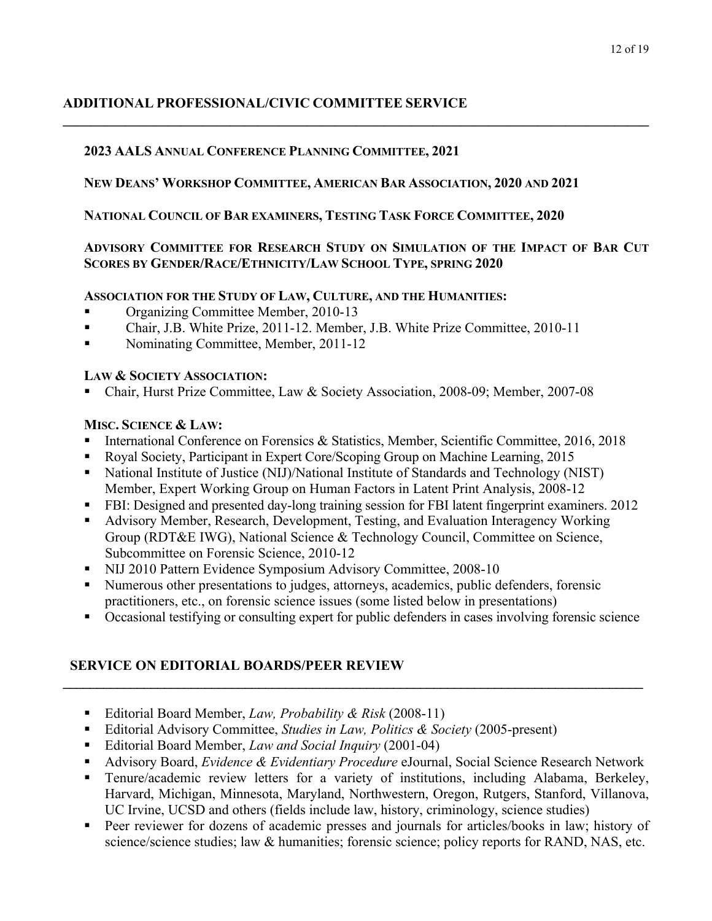# **ADDITIONAL PROFESSIONAL/CIVIC COMMITTEE SERVICE**

## **2023 AALS ANNUAL CONFERENCE PLANNING COMMITTEE, 2021**

## **NEW DEANS' WORKSHOP COMMITTEE, AMERICAN BAR ASSOCIATION, 2020 AND 2021**

## **NATIONAL COUNCIL OF BAR EXAMINERS, TESTING TASK FORCE COMMITTEE, 2020**

## **ADVISORY COMMITTEE FOR RESEARCH STUDY ON SIMULATION OF THE IMPACT OF BAR CUT SCORES BY GENDER/RACE/ETHNICITY/LAW SCHOOL TYPE, SPRING 2020**

 $\mathcal{L}_\mathcal{L} = \{ \mathcal{L}_\mathcal{L} = \{ \mathcal{L}_\mathcal{L} = \{ \mathcal{L}_\mathcal{L} = \{ \mathcal{L}_\mathcal{L} = \{ \mathcal{L}_\mathcal{L} = \{ \mathcal{L}_\mathcal{L} = \{ \mathcal{L}_\mathcal{L} = \{ \mathcal{L}_\mathcal{L} = \{ \mathcal{L}_\mathcal{L} = \{ \mathcal{L}_\mathcal{L} = \{ \mathcal{L}_\mathcal{L} = \{ \mathcal{L}_\mathcal{L} = \{ \mathcal{L}_\mathcal{L} = \{ \mathcal{L}_\mathcal{$ 

## **ASSOCIATION FOR THE STUDY OF LAW, CULTURE, AND THE HUMANITIES:**

- Organizing Committee Member, 2010-13
- Chair, J.B. White Prize, 2011-12. Member, J.B. White Prize Committee, 2010-11
- Nominating Committee, Member, 2011-12

#### **LAW & SOCIETY ASSOCIATION:**

• Chair, Hurst Prize Committee, Law & Society Association, 2008-09; Member, 2007-08

## **MISC. SCIENCE & LAW:**

- International Conference on Forensics & Statistics, Member, Scientific Committee, 2016, 2018
- Royal Society, Participant in Expert Core/Scoping Group on Machine Learning, 2015
- National Institute of Justice (NIJ)/National Institute of Standards and Technology (NIST) Member, Expert Working Group on Human Factors in Latent Print Analysis, 2008-12
- FBI: Designed and presented day-long training session for FBI latent fingerprint examiners. 2012
- Advisory Member, Research, Development, Testing, and Evaluation Interagency Working Group (RDT&E IWG), National Science & Technology Council, Committee on Science, Subcommittee on Forensic Science, 2010-12
- NIJ 2010 Pattern Evidence Symposium Advisory Committee, 2008-10
- Numerous other presentations to judges, attorneys, academics, public defenders, forensic practitioners, etc., on forensic science issues (some listed below in presentations)
- Occasional testifying or consulting expert for public defenders in cases involving forensic science

**\_\_\_\_\_\_\_\_\_\_\_\_\_\_\_\_\_\_\_\_\_\_\_\_\_\_\_\_\_\_\_\_\_\_\_\_\_\_\_\_\_\_\_\_\_\_\_\_\_\_\_\_\_\_\_\_\_\_\_\_\_\_\_\_\_\_\_\_\_\_\_\_\_\_\_\_\_\_\_\_\_\_\_\_\_\_** 

## **SERVICE ON EDITORIAL BOARDS/PEER REVIEW**

- Editorial Board Member, *Law, Probability & Risk* (2008-11)
- Editorial Advisory Committee, *Studies in Law, Politics & Society* (2005-present)
- Editorial Board Member, *Law and Social Inquiry* (2001-04)
- Advisory Board, *Evidence & Evidentiary Procedure* eJournal, Social Science Research Network
- UC Irvine, UCSD and others (fields include law, history, criminology, science studies) • Tenure/academic review letters for a variety of institutions, including Alabama, Berkeley, Harvard, Michigan, Minnesota, Maryland, Northwestern, Oregon, Rutgers, Stanford, Villanova,
- Peer reviewer for dozens of academic presses and journals for articles/books in law; history of science/science studies; law & humanities; forensic science; policy reports for RAND, NAS, etc.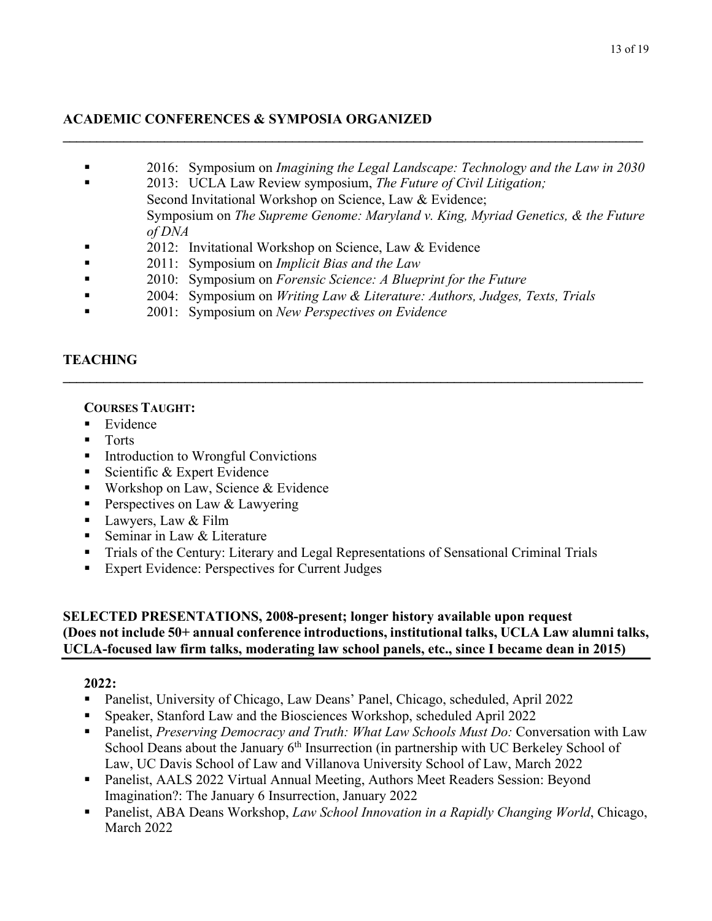#### 13 of 19

## **ACADEMIC CONFERENCES & SYMPOSIA ORGANIZED**

• 2016: Symposium on *Imagining the Legal Landscape: Technology and the Law in 2030* 

 $\mathcal{L}_\mathcal{L} = \{ \mathcal{L}_\mathcal{L} = \{ \mathcal{L}_\mathcal{L} = \{ \mathcal{L}_\mathcal{L} = \{ \mathcal{L}_\mathcal{L} = \{ \mathcal{L}_\mathcal{L} = \{ \mathcal{L}_\mathcal{L} = \{ \mathcal{L}_\mathcal{L} = \{ \mathcal{L}_\mathcal{L} = \{ \mathcal{L}_\mathcal{L} = \{ \mathcal{L}_\mathcal{L} = \{ \mathcal{L}_\mathcal{L} = \{ \mathcal{L}_\mathcal{L} = \{ \mathcal{L}_\mathcal{L} = \{ \mathcal{L}_\mathcal{$ 

- 2013: UCLA Law Review symposium, *The Future of Civil Litigation;*  Second Invitational Workshop on Science, Law & Evidence; Symposium on *The Supreme Genome: Maryland v. King, Myriad Genetics, & the Future of DNA*
- 2012: Invitational Workshop on Science, Law & Evidence
- 2011: Symposium on *Implicit Bias and the Law*
- 2010: Symposium on *Forensic Science: A Blueprint for the Future*
- 2004: Symposium on *Writing Law & Literature: Authors, Judges, Texts, Trials*

**\_\_\_\_\_\_\_\_\_\_\_\_\_\_\_\_\_\_\_\_\_\_\_\_\_\_\_\_\_\_\_\_\_\_\_\_\_\_\_\_\_\_\_\_\_\_\_\_\_\_\_\_\_\_\_\_\_\_\_\_\_\_\_\_\_\_\_\_\_\_\_\_\_\_\_\_\_\_\_\_\_\_\_\_\_\_** 

• 2001: Symposium on *New Perspectives on Evidence* 

# **TEACHING**

## **COURSES TAUGHT:**

- Evidence
- Torts
- Introduction to Wrongful Convictions
- Scientific & Expert Evidence
- Workshop on Law, Science & Evidence
- Perspectives on Law & Lawyering
- **•** Lawyers, Law & Film
- Seminar in Law & Literature
- Trials of the Century: Literary and Legal Representations of Sensational Criminal Trials
- Expert Evidence: Perspectives for Current Judges

## **SELECTED PRESENTATIONS, 2008-present; longer history available upon request**  UCLA-focused law firm talks, moderating law school panels, etc., since I became dean in 2015) **(Does not include 50+ annual conference introductions, institutional talks, UCLA Law alumni talks,**

- Panelist, University of Chicago, Law Deans' Panel, Chicago, scheduled, April 2022
- Speaker, Stanford Law and the Biosciences Workshop, scheduled April 2022
- School Deans about the January 6<sup>th</sup> Insurrection (in partnership with UC Berkeley School of **• Panelist**, *Preserving Democracy and Truth: What Law Schools Must Do: Conversation with Law* Law, UC Davis School of Law and Villanova University School of Law, March 2022
- Panelist, AALS 2022 Virtual Annual Meeting, Authors Meet Readers Session: Beyond Imagination?: The January 6 Insurrection, January 2022
- Panelist, ABA Deans Workshop, *Law School Innovation in a Rapidly Changing World*, Chicago, March 2022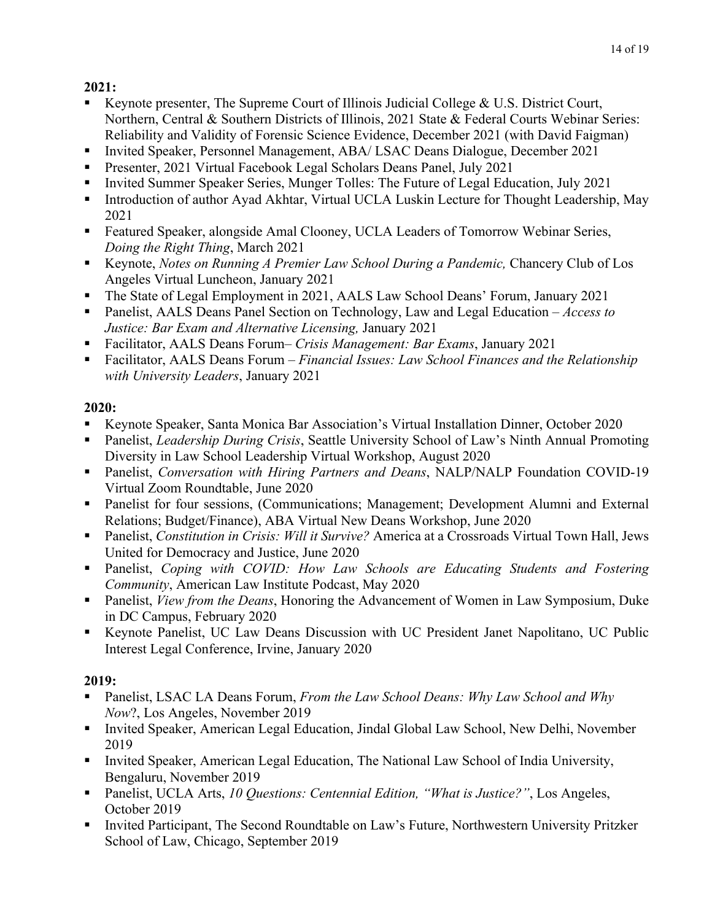- Keynote presenter, The Supreme Court of Illinois Judicial College & U.S. District Court, Northern, Central & Southern Districts of Illinois, 2021 State & Federal Courts Webinar Series: Reliability and Validity of Forensic Science Evidence, December 2021 (with David Faigman)
- Invited Speaker, Personnel Management, ABA/ LSAC Deans Dialogue, December 2021
- Presenter, 2021 Virtual Facebook Legal Scholars Deans Panel, July 2021
- Invited Summer Speaker Series, Munger Tolles: The Future of Legal Education, July 2021
- Introduction of author Ayad Akhtar, Virtual UCLA Luskin Lecture for Thought Leadership, May 2021
- Featured Speaker, alongside Amal Clooney, UCLA Leaders of Tomorrow Webinar Series, *Doing the Right Thing*, March 2021
- Keynote, *Notes on Running A Premier Law School During a Pandemic,* Chancery Club of Los Angeles Virtual Luncheon, January 2021
- The State of Legal Employment in 2021, AALS Law School Deans' Forum, January 2021
- • Panelist, AALS Deans Panel Section on Technology, Law and Legal Education *Access to Justice: Bar Exam and Alternative Licensing,* January 2021
- Facilitator, AALS Deans Forum– *Crisis Management: Bar Exams*, January 2021
- • Facilitator, AALS Deans Forum *Financial Issues: Law School Finances and the Relationship with University Leaders*, January 2021

# **2020:**

- Keynote Speaker, Santa Monica Bar Association's Virtual Installation Dinner, October 2020
- • Panelist, *Leadership During Crisis*, Seattle University School of Law's Ninth Annual Promoting Diversity in Law School Leadership Virtual Workshop, August 2020
- Panelist, *Conversation with Hiring Partners and Deans*, NALP/NALP Foundation COVID-19 Virtual Zoom Roundtable, June 2020
- Relations; Budget/Finance), ABA Virtual New Deans Workshop, June 2020 • Panelist for four sessions, (Communications; Management; Development Alumni and External
- Panelist, *Constitution in Crisis: Will it Survive?* America at a Crossroads Virtual Town Hall, Jews United for Democracy and Justice, June 2020
- **•** Panelist, *Coping with COVID: How Law Schools are Educating Students and Fostering Community*, American Law Institute Podcast, May 2020
- • Panelist, *View from the Deans*, Honoring the Advancement of Women in Law Symposium, Duke in DC Campus, February 2020
- Keynote Panelist, UC Law Deans Discussion with UC President Janet Napolitano, UC Public Interest Legal Conference, Irvine, January 2020

- Panelist, LSAC LA Deans Forum, *From the Law School Deans: Why Law School and Why Now*?, Los Angeles, November 2019
- Invited Speaker, American Legal Education, Jindal Global Law School, New Delhi, November 2019
- • Invited Speaker, American Legal Education, The National Law School of India University, Bengaluru, November 2019
- Panelist, UCLA Arts, *10 Questions: Centennial Edition, "What is Justice?"*, Los Angeles, October 2019
- Invited Participant, The Second Roundtable on Law's Future, Northwestern University Pritzker School of Law, Chicago, September 2019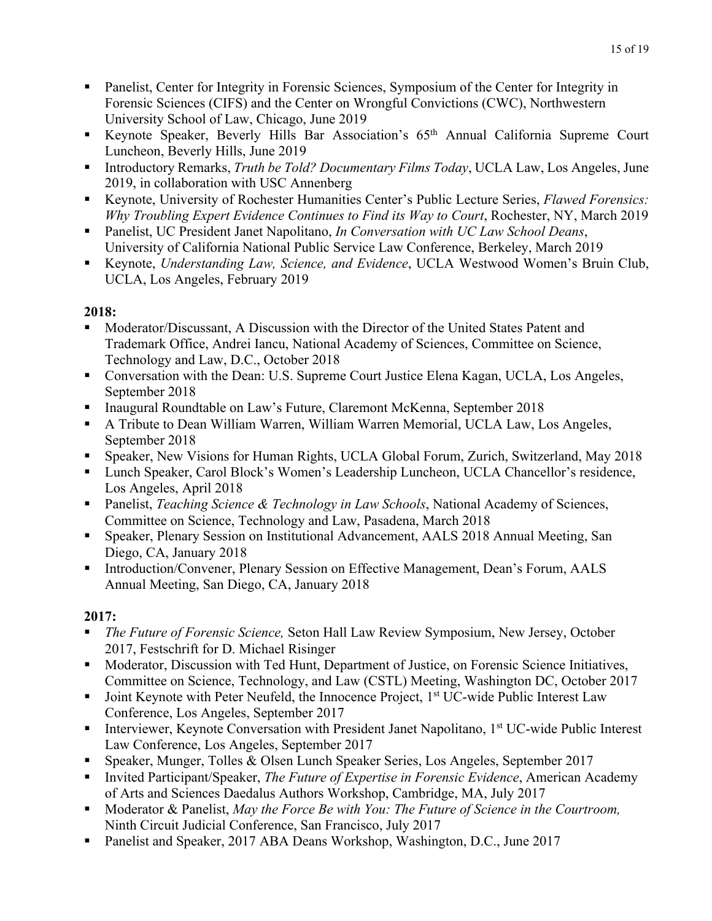- • Panelist, Center for Integrity in Forensic Sciences, Symposium of the Center for Integrity in Forensic Sciences (CIFS) and the Center on Wrongful Convictions (CWC), Northwestern University School of Law, Chicago, June 2019
- Keynote Speaker, Beverly Hills Bar Association's 65th Annual California Supreme Court Luncheon, Beverly Hills, June 2019
- Introductory Remarks, *Truth be Told? Documentary Films Today*, UCLA Law, Los Angeles, June 2019, in collaboration with USC Annenberg
- Keynote, University of Rochester Humanities Center's Public Lecture Series, *Flawed Forensics: Why Troubling Expert Evidence Continues to Find its Way to Court*, Rochester, NY, March 2019
- • Panelist, UC President Janet Napolitano, *In Conversation with UC Law School Deans*, University of California National Public Service Law Conference, Berkeley, March 2019
- Keynote, *Understanding Law, Science, and Evidence*, UCLA Westwood Women's Bruin Club, UCLA, Los Angeles, February 2019

- Trademark Office, Andrei Iancu, National Academy of Sciences, Committee on Science, • Moderator/Discussant, A Discussion with the Director of the United States Patent and Technology and Law, D.C., October 2018
- Conversation with the Dean: U.S. Supreme Court Justice Elena Kagan, UCLA, Los Angeles, September 2018
- Inaugural Roundtable on Law's Future, Claremont McKenna, September 2018
- A Tribute to Dean William Warren, William Warren Memorial, UCLA Law, Los Angeles, September 2018
- Speaker, New Visions for Human Rights, UCLA Global Forum, Zurich, Switzerland, May 2018
- Lunch Speaker, Carol Block's Women's Leadership Luncheon, UCLA Chancellor's residence, Los Angeles, April 2018
- Panelist, *Teaching Science & Technology in Law Schools*, National Academy of Sciences, Committee on Science, Technology and Law, Pasadena, March 2018
- Speaker, Plenary Session on Institutional Advancement, AALS 2018 Annual Meeting, San Diego, CA, January 2018
- Introduction/Convener, Plenary Session on Effective Management, Dean's Forum, AALS Annual Meeting, San Diego, CA, January 2018

- • *The Future of Forensic Science,* Seton Hall Law Review Symposium, New Jersey, October 2017, Festschrift for D. Michael Risinger
- • Moderator, Discussion with Ted Hunt, Department of Justice, on Forensic Science Initiatives, Committee on Science, Technology, and Law (CSTL) Meeting, Washington DC, October 2017
- Joint Keynote with Peter Neufeld, the Innocence Project,  $1<sup>st</sup> UC-wide Public Interest Law$ Conference, Los Angeles, September 2017
- Interviewer, Keynote Conversation with President Janet Napolitano, 1<sup>st</sup> UC-wide Public Interest Law Conference, Los Angeles, September 2017
- Speaker, Munger, Tolles & Olsen Lunch Speaker Series, Los Angeles, September 2017
- **•** Invited Participant/Speaker, *The Future of Expertise in Forensic Evidence*, American Academy of Arts and Sciences Daedalus Authors Workshop, Cambridge, MA, July 2017
- Moderator & Panelist, *May the Force Be with You: The Future of Science in the Courtroom,*  Ninth Circuit Judicial Conference, San Francisco, July 2017
- Panelist and Speaker, 2017 ABA Deans Workshop, Washington, D.C., June 2017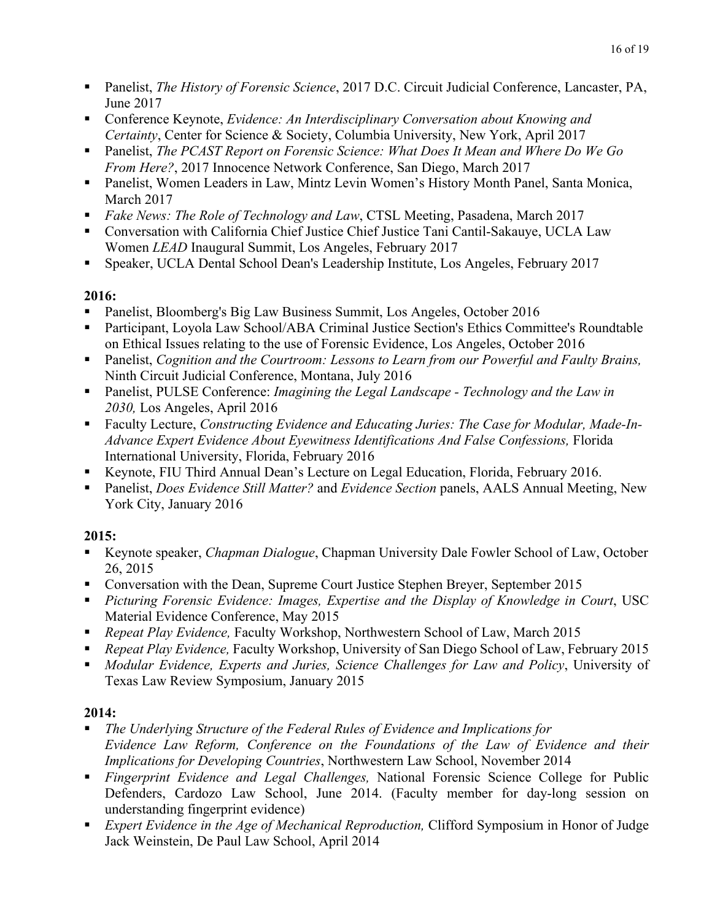- Panelist, *The History of Forensic Science*, 2017 D.C. Circuit Judicial Conference, Lancaster, PA, June 2017
- Conference Keynote, *Evidence: An Interdisciplinary Conversation about Knowing and Certainty*, Center for Science & Society, Columbia University, New York, April 2017
- Panelist, *The PCAST Report on Forensic Science: What Does It Mean and Where Do We Go From Here?*, 2017 Innocence Network Conference, San Diego, March 2017
- • Panelist, Women Leaders in Law, Mintz Levin Women's History Month Panel, Santa Monica, March 2017
- *Fake News: The Role of Technology and Law*, CTSL Meeting, Pasadena, March 2017
- Women *LEAD* Inaugural Summit, Los Angeles, February 2017 • Conversation with California Chief Justice Chief Justice Tani Cantil-Sakauye, UCLA Law
- Speaker, UCLA Dental School Dean's Leadership Institute, Los Angeles, February 2017

- Panelist, Bloomberg's Big Law Business Summit, Los Angeles, October 2016
- on Ethical Issues relating to the use of Forensic Evidence, Los Angeles, October 2016 • Participant, Loyola Law School/ABA Criminal Justice Section's Ethics Committee's Roundtable
- Panelist, *Cognition and the Courtroom: Lessons to Learn from our Powerful and Faulty Brains,*  Ninth Circuit Judicial Conference, Montana, July 2016
- **•** Panelist, PULSE Conference: *Imagining the Legal Landscape Technology and the Law in 2030,* Los Angeles, April 2016
- Faculty Lecture, *Constructing Evidence and Educating Juries: The Case for Modular, Made-In-Advance Expert Evidence About Eyewitness Identifications And False Confessions,* Florida International University, Florida, February 2016
- Keynote, FIU Third Annual Dean's Lecture on Legal Education, Florida, February 2016.
- Panelist, *Does Evidence Still Matter?* and *Evidence Section* panels, AALS Annual Meeting, New York City, January 2016

# **2015:**

- Keynote speaker, *Chapman Dialogue*, Chapman University Dale Fowler School of Law, October 26, 2015
- Conversation with the Dean, Supreme Court Justice Stephen Breyer, September 2015
- **•** *Picturing Forensic Evidence: Images, Expertise and the Display of Knowledge in Court, USC* Material Evidence Conference, May 2015
- *Repeat Play Evidence,* Faculty Workshop, Northwestern School of Law, March 2015
- *Repeat Play Evidence,* Faculty Workshop, University of San Diego School of Law, February 2015
- *Modular Evidence, Experts and Juries, Science Challenges for Law and Policy*, University of Texas Law Review Symposium, January 2015

- *The Underlying Structure of the Federal Rules of Evidence and Implications for Evidence Law Reform, Conference on the Foundations of the Law of Evidence and their Implications for Developing Countries*, Northwestern Law School, November 2014
- • *Fingerprint Evidence and Legal Challenges,* National Forensic Science College for Public Defenders, Cardozo Law School, June 2014. (Faculty member for day-long session on understanding fingerprint evidence)
- *Expert Evidence in the Age of Mechanical Reproduction,* Clifford Symposium in Honor of Judge Jack Weinstein, De Paul Law School, April 2014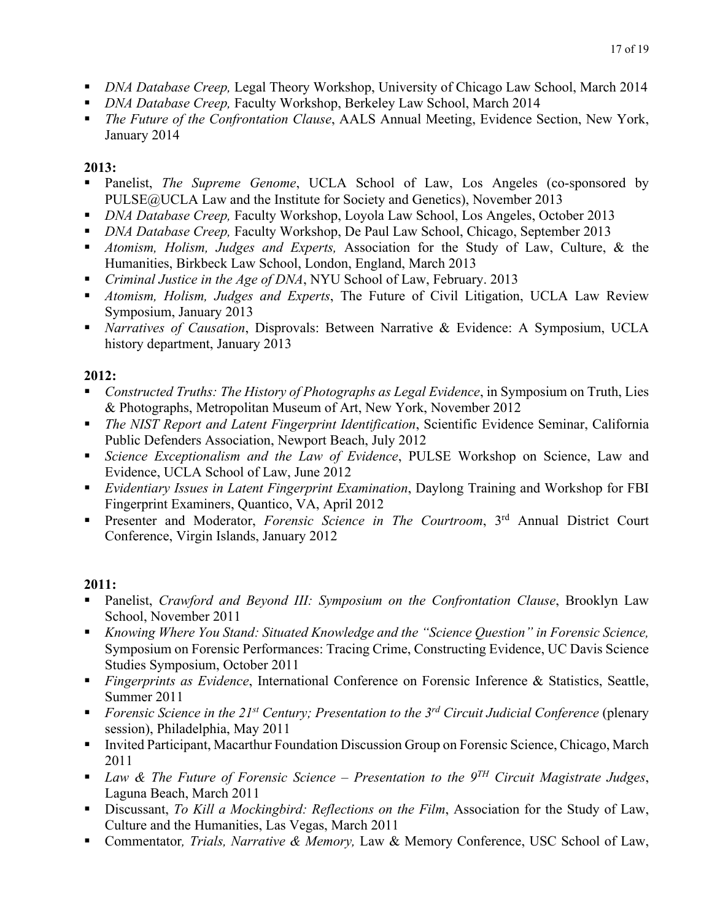- *DNA Database Creep,* Legal Theory Workshop, University of Chicago Law School, March 2014
- *DNA Database Creep,* Faculty Workshop, Berkeley Law School, March 2014
- *The Future of the Confrontation Clause*, AALS Annual Meeting, Evidence Section, New York, January 2014

- Panelist, *The Supreme Genome*, UCLA School of Law, Los Angeles (co-sponsored by PULSE@UCLA Law and the Institute for Society and Genetics), November 2013
- *DNA Database Creep,* Faculty Workshop, Loyola Law School, Los Angeles, October 2013
- *DNA Database Creep,* Faculty Workshop, De Paul Law School, Chicago, September 2013
- *Atomism, Holism, Judges and Experts,* Association for the Study of Law, Culture, & the Humanities, Birkbeck Law School, London, England, March 2013
- *Criminal Justice in the Age of DNA*, NYU School of Law, February. 2013
- *Atomism, Holism, Judges and Experts*, The Future of Civil Litigation, UCLA Law Review Symposium, January 2013
- *Narratives of Causation*, Disprovals: Between Narrative & Evidence: A Symposium, UCLA history department, January 2013

# **2012:**

- *Constructed Truths: The History of Photographs as Legal Evidence*, in Symposium on Truth, Lies & Photographs, Metropolitan Museum of Art, New York, November 2012
- *The NIST Report and Latent Fingerprint Identification*, Scientific Evidence Seminar, California Public Defenders Association, Newport Beach, July 2012
- *Science Exceptionalism and the Law of Evidence*, PULSE Workshop on Science, Law and Evidence, UCLA School of Law, June 2012
- *Evidentiary Issues in Latent Fingerprint Examination*, Daylong Training and Workshop for FBI Fingerprint Examiners, Quantico, VA, April 2012
- **•** Presenter and Moderator, *Forensic Science in The Courtroom*, 3<sup>rd</sup> Annual District Court Conference, Virgin Islands, January 2012

- Panelist, *Crawford and Beyond III: Symposium on the Confrontation Clause*, Brooklyn Law School, November 2011
- *Knowing Where You Stand: Situated Knowledge and the "Science Question" in Forensic Science,*  Symposium on Forensic Performances: Tracing Crime, Constructing Evidence, UC Davis Science Studies Symposium, October 2011
- *Fingerprints as Evidence*, International Conference on Forensic Inference & Statistics, Seattle, Summer 2011
- *Forensic Science in the 21st Century; Presentation to the 3rd Circuit Judicial Conference* (plenary session), Philadelphia, May 2011
- Invited Participant, Macarthur Foundation Discussion Group on Forensic Science, Chicago, March 2011
- Laguna Beach, March 2011 • *Law & The Future of Forensic Science – Presentation to the 9TH Circuit Magistrate Judges*,
- • Discussant, *To Kill a Mockingbird: Reflections on the Film*, Association for the Study of Law, Culture and the Humanities, Las Vegas, March 2011
- Commentator*, Trials, Narrative & Memory,* Law & Memory Conference, USC School of Law,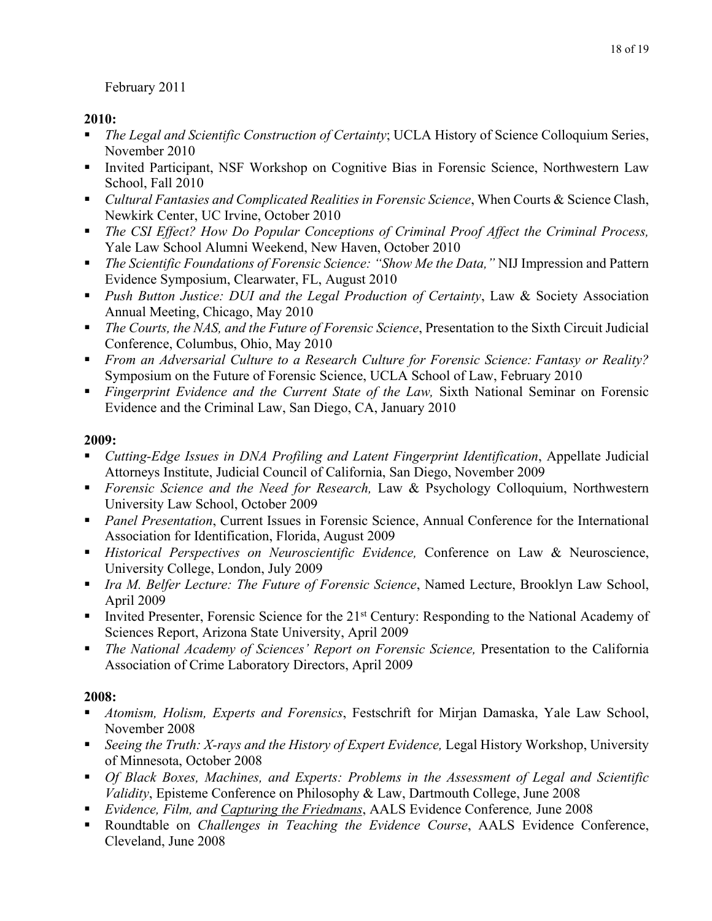# 18 of 19 February 2011

# **2010:**

- *The Legal and Scientific Construction of Certainty*; UCLA History of Science Colloquium Series, November 2010
- • Invited Participant, NSF Workshop on Cognitive Bias in Forensic Science, Northwestern Law School, Fall 2010
- *Cultural Fantasies and Complicated Realities in Forensic Science*, When Courts & Science Clash, Newkirk Center, UC Irvine, October 2010
- **•** *The CSI Effect? How Do Popular Conceptions of Criminal Proof Affect the Criminal Process,* Yale Law School Alumni Weekend, New Haven, October 2010
- *The Scientific Foundations of Forensic Science: "Show Me the Data,"* NIJ Impression and Pattern Evidence Symposium, Clearwater, FL, August 2010
- *Push Button Justice: DUI and the Legal Production of Certainty*, Law & Society Association Annual Meeting, Chicago, May 2010
- *The Courts, the NAS, and the Future of Forensic Science*, Presentation to the Sixth Circuit Judicial Conference, Columbus, Ohio, May 2010
- *From an Adversarial Culture to a Research Culture for Forensic Science: Fantasy or Reality?*  Symposium on the Future of Forensic Science, UCLA School of Law, February 2010
- *Fingerprint Evidence and the Current State of the Law, Sixth National Seminar on Forensic* Evidence and the Criminal Law, San Diego, CA, January 2010

# **2009:**

- *Cutting-Edge Issues in DNA Profiling and Latent Fingerprint Identification*, Appellate Judicial Attorneys Institute, Judicial Council of California, San Diego, November 2009
- *Forensic Science and the Need for Research,* Law & Psychology Colloquium, Northwestern University Law School, October 2009
- • *Panel Presentation*, Current Issues in Forensic Science, Annual Conference for the International Association for Identification, Florida, August 2009
- *Historical Perspectives on Neuroscientific Evidence,* Conference on Law & Neuroscience, University College, London, July 2009
- *Ira M. Belfer Lecture: The Future of Forensic Science*, Named Lecture, Brooklyn Law School, April 2009
- Invited Presenter, Forensic Science for the  $21<sup>st</sup>$  Century: Responding to the National Academy of Sciences Report, Arizona State University, April 2009
- *The National Academy of Sciences' Report on Forensic Science,* Presentation to the California Association of Crime Laboratory Directors, April 2009

- *Atomism, Holism, Experts and Forensics*, Festschrift for Mirjan Damaska, Yale Law School, November 2008
- *Seeing the Truth: X-rays and the History of Expert Evidence, Legal History Workshop, University* of Minnesota, October 2008
- **•** *Of Black Boxes, Machines, and Experts: Problems in the Assessment of Legal and Scientific Validity*, Episteme Conference on Philosophy & Law, Dartmouth College, June 2008
- *Evidence, Film, and Capturing the Friedmans*, AALS Evidence Conference*,* June 2008
- Roundtable on *Challenges in Teaching the Evidence Course*, AALS Evidence Conference, Cleveland, June 2008